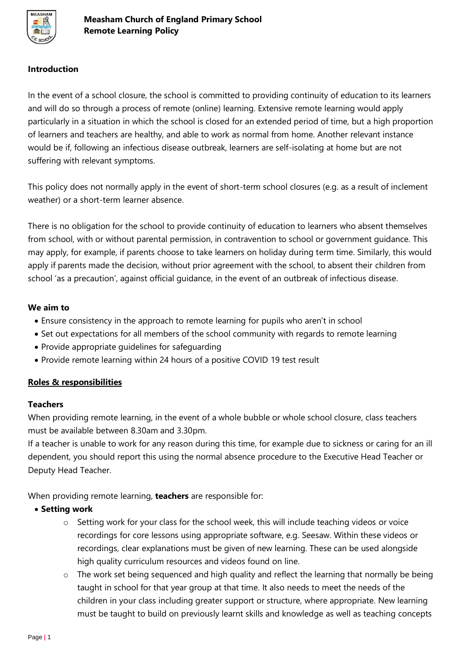

### **Introduction**

In the event of a school closure, the school is committed to providing continuity of education to its learners and will do so through a process of remote (online) learning. Extensive remote learning would apply particularly in a situation in which the school is closed for an extended period of time, but a high proportion of learners and teachers are healthy, and able to work as normal from home. Another relevant instance would be if, following an infectious disease outbreak, learners are self-isolating at home but are not suffering with relevant symptoms.

This policy does not normally apply in the event of short-term school closures (e.g. as a result of inclement weather) or a short-term learner absence.

There is no obligation for the school to provide continuity of education to learners who absent themselves from school, with or without parental permission, in contravention to school or government guidance. This may apply, for example, if parents choose to take learners on holiday during term time. Similarly, this would apply if parents made the decision, without prior agreement with the school, to absent their children from school 'as a precaution', against official guidance, in the event of an outbreak of infectious disease.

### **We aim to**

- Ensure consistency in the approach to remote learning for pupils who aren't in school
- Set out expectations for all members of the school community with regards to remote learning
- Provide appropriate guidelines for safeguarding
- Provide remote learning within 24 hours of a positive COVID 19 test result

### **Roles & responsibilities**

### **Teachers**

When providing remote learning, in the event of a whole bubble or whole school closure, class teachers must be available between 8.30am and 3.30pm.

If a teacher is unable to work for any reason during this time, for example due to sickness or caring for an ill dependent, you should report this using the normal absence procedure to the Executive Head Teacher or Deputy Head Teacher.

When providing remote learning, **teachers** are responsible for:

### • **Setting work**

- o Setting work for your class for the school week, this will include teaching videos or voice recordings for core lessons using appropriate software, e.g. Seesaw. Within these videos or recordings, clear explanations must be given of new learning. These can be used alongside high quality curriculum resources and videos found on line.
- $\circ$  The work set being sequenced and high quality and reflect the learning that normally be being taught in school for that year group at that time. It also needs to meet the needs of the children in your class including greater support or structure, where appropriate. New learning must be taught to build on previously learnt skills and knowledge as well as teaching concepts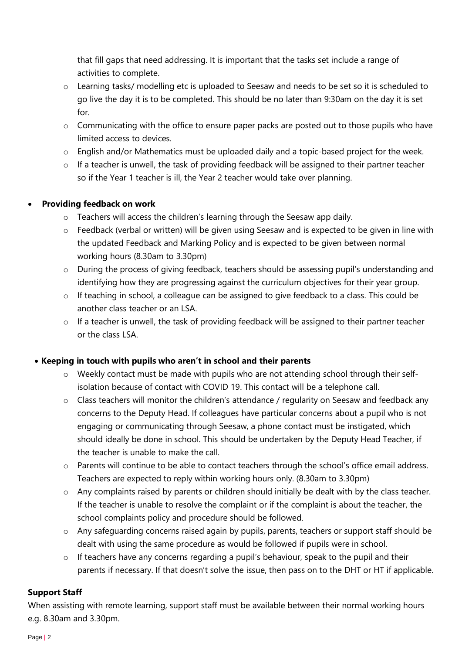that fill gaps that need addressing. It is important that the tasks set include a range of activities to complete.

- o Learning tasks/ modelling etc is uploaded to Seesaw and needs to be set so it is scheduled to go live the day it is to be completed. This should be no later than 9:30am on the day it is set for.
- o Communicating with the office to ensure paper packs are posted out to those pupils who have limited access to devices.
- o English and/or Mathematics must be uploaded daily and a topic-based project for the week.
- o If a teacher is unwell, the task of providing feedback will be assigned to their partner teacher so if the Year 1 teacher is ill, the Year 2 teacher would take over planning.

# • **Providing feedback on work**

- $\circ$  Teachers will access the children's learning through the Seesaw app daily.
- o Feedback (verbal or written) will be given using Seesaw and is expected to be given in line with the updated Feedback and Marking Policy and is expected to be given between normal working hours (8.30am to 3.30pm)
- o During the process of giving feedback, teachers should be assessing pupil's understanding and identifying how they are progressing against the curriculum objectives for their year group.
- o If teaching in school, a colleague can be assigned to give feedback to a class. This could be another class teacher or an LSA.
- o If a teacher is unwell, the task of providing feedback will be assigned to their partner teacher or the class LSA.

# • **Keeping in touch with pupils who aren't in school and their parents**

- o Weekly contact must be made with pupils who are not attending school through their selfisolation because of contact with COVID 19. This contact will be a telephone call.
- o Class teachers will monitor the children's attendance / regularity on Seesaw and feedback any concerns to the Deputy Head. If colleagues have particular concerns about a pupil who is not engaging or communicating through Seesaw, a phone contact must be instigated, which should ideally be done in school. This should be undertaken by the Deputy Head Teacher, if the teacher is unable to make the call.
- o Parents will continue to be able to contact teachers through the school's office email address. Teachers are expected to reply within working hours only. (8.30am to 3.30pm)
- o Any complaints raised by parents or children should initially be dealt with by the class teacher. If the teacher is unable to resolve the complaint or if the complaint is about the teacher, the school complaints policy and procedure should be followed.
- o Any safeguarding concerns raised again by pupils, parents, teachers or support staff should be dealt with using the same procedure as would be followed if pupils were in school.
- $\circ$  If teachers have any concerns regarding a pupil's behaviour, speak to the pupil and their parents if necessary. If that doesn't solve the issue, then pass on to the DHT or HT if applicable.

# **Support Staff**

When assisting with remote learning, support staff must be available between their normal working hours e.g. 8.30am and 3.30pm.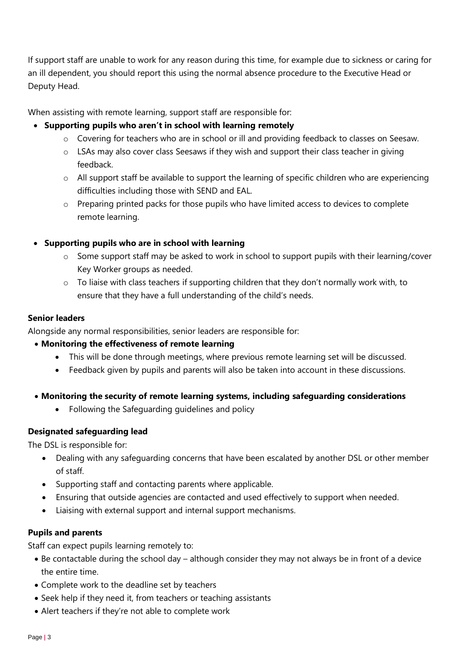If support staff are unable to work for any reason during this time, for example due to sickness or caring for an ill dependent, you should report this using the normal absence procedure to the Executive Head or Deputy Head.

When assisting with remote learning, support staff are responsible for:

# • **Supporting pupils who aren't in school with learning remotely**

- o Covering for teachers who are in school or ill and providing feedback to classes on Seesaw.
- o LSAs may also cover class Seesaws if they wish and support their class teacher in giving feedback.
- o All support staff be available to support the learning of specific children who are experiencing difficulties including those with SEND and EAL.
- o Preparing printed packs for those pupils who have limited access to devices to complete remote learning.

### • **Supporting pupils who are in school with learning**

- o Some support staff may be asked to work in school to support pupils with their learning/cover Key Worker groups as needed.
- o To liaise with class teachers if supporting children that they don't normally work with, to ensure that they have a full understanding of the child's needs.

### **Senior leaders**

Alongside any normal responsibilities, senior leaders are responsible for:

### • **Monitoring the effectiveness of remote learning**

- This will be done through meetings, where previous remote learning set will be discussed.
- Feedback given by pupils and parents will also be taken into account in these discussions.
- **Monitoring the security of remote learning systems, including safeguarding considerations**
	- Following the Safeguarding guidelines and policy

# **Designated safeguarding lead**

The DSL is responsible for:

- Dealing with any safeguarding concerns that have been escalated by another DSL or other member of staff.
- Supporting staff and contacting parents where applicable.
- Ensuring that outside agencies are contacted and used effectively to support when needed.
- Liaising with external support and internal support mechanisms.

### **Pupils and parents**

Staff can expect pupils learning remotely to:

- Be contactable during the school day although consider they may not always be in front of a device the entire time.
- Complete work to the deadline set by teachers
- Seek help if they need it, from teachers or teaching assistants
- Alert teachers if they're not able to complete work